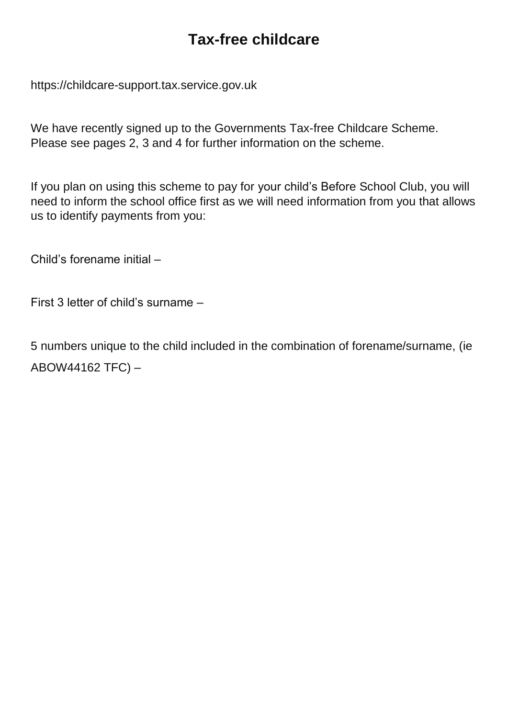# **Tax-free childcare**

https://childcare-support.tax.service.gov.uk

We have recently signed up to the Governments Tax-free Childcare Scheme. Please see pages 2, 3 and 4 for further information on the scheme.

If you plan on using this scheme to pay for your child's Before School Club, you will need to inform the school office first as we will need information from you that allows us to identify payments from you:

Child's forename initial –

First 3 letter of child's surname –

5 numbers unique to the child included in the combination of forename/surname, (ie ABOW44162 TFC) –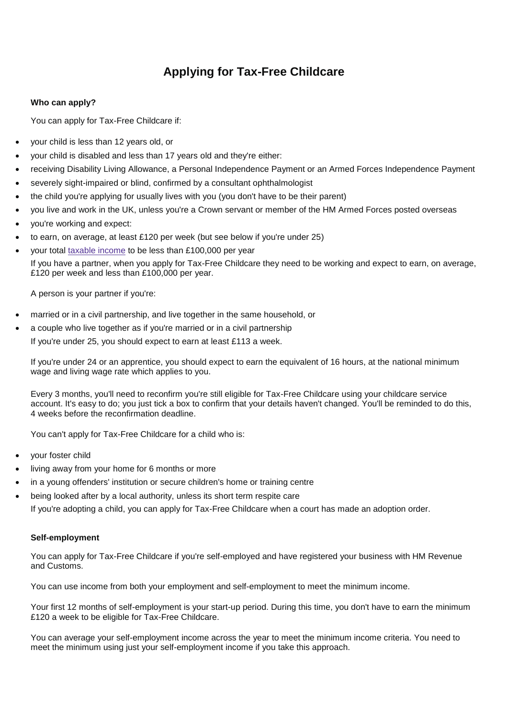# **Applying for Tax-Free Childcare**

### **Who can apply?**

You can apply for Tax-Free Childcare if:

- your child is less than 12 years old, or
- your child is disabled and less than 17 years old and they're either:
- receiving Disability Living Allowance, a Personal Independence Payment or an Armed Forces Independence Payment
- severely sight-impaired or blind, confirmed by a consultant ophthalmologist
- the child you're applying for usually lives with you (you don't have to be their parent)
- you live and work in the UK, unless you're a Crown servant or member of the HM Armed Forces posted overseas
- you're working and expect:
- to earn, on average, at least £120 per week (but see below if you're under 25)
- your total taxable [income](https://www.gov.uk/income-tax) to be less than £100,000 per year If you have a partner, when you apply for Tax-Free Childcare they need to be working and expect to earn, on average, £120 per week and less than £100,000 per year.

A person is your partner if you're:

- married or in a civil partnership, and live together in the same household, or
- a couple who live together as if you're married or in a civil partnership If you're under 25, you should expect to earn at least £113 a week.

If you're under 24 or an apprentice, you should expect to earn the equivalent of 16 hours, at the national minimum wage and living wage rate which applies to you.

Every 3 months, you'll need to reconfirm you're still eligible for Tax-Free Childcare using your childcare service account. It's easy to do; you just tick a box to confirm that your details haven't changed. You'll be reminded to do this, 4 weeks before the reconfirmation deadline.

You can't apply for Tax-Free Childcare for a child who is:

- your foster child
- living away from your home for 6 months or more
- in a young offenders' institution or secure children's home or training centre
- being looked after by a local authority, unless its short term respite care

If you're adopting a child, you can apply for Tax-Free Childcare when a court has made an adoption order.

### **Self-employment**

You can apply for Tax-Free Childcare if you're self-employed and have registered your business with HM Revenue and Customs.

You can use income from both your employment and self-employment to meet the minimum income.

Your first 12 months of self-employment is your start-up period. During this time, you don't have to earn the minimum £120 a week to be eligible for Tax-Free Childcare.

You can average your self-employment income across the year to meet the minimum income criteria. You need to meet the minimum using just your self-employment income if you take this approach.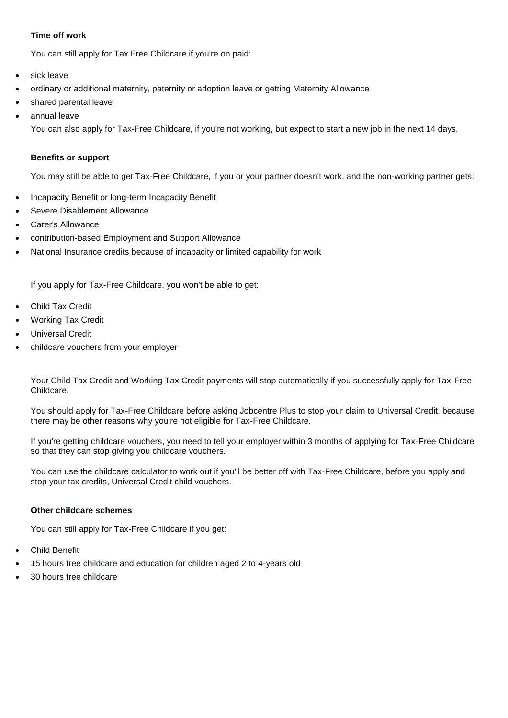# **Time off work**

You can still apply for Tax Free Childcare if you're on paid:

- sick leave
- ordinary or additional maternity, paternity or adoption leave or getting Maternity Allowance
- shared parental leave
- annual leave

You can also apply for Tax-Free Childcare, if you're not working, but expect to start a new job in the next 14 days.

#### **Benefits or support**

You may still be able to get Tax-Free Childcare, if you or your partner doesn't work, and the non-working partner gets:

- Incapacity Benefit or long-term Incapacity Benefit
- Severe Disablement Allowance
- Carer's Allowance
- contribution-based Employment and Support Allowance
- National Insurance credits because of incapacity or limited capability for work

If you apply for Tax-Free Childcare, you won't be able to get:

- Child Tax Credit
- Working Tax Credit
- Universal Credit
- childcare vouchers from your employer

Your Child Tax Credit and Working Tax Credit payments will stop automatically if you successfully apply for Tax-Free Childcare.

You should apply for Tax-Free Childcare before asking Jobcentre Plus to stop your claim to Universal Credit, because there may be other reasons why you're not eligible for Tax-Free Childcare.

If you're getting childcare vouchers, you need to tell your employer within 3 months of applying for Tax-Free Childcare so that they can stop giving you childcare vouchers.

You can use the childcare calculator to work out if you'll be better off with Tax-Free Childcare, before you apply and stop your tax credits, Universal Credit child vouchers.

### **Other childcare schemes**

You can still apply for Tax-Free Childcare if you get:

- Child Benefit
- 15 hours free childcare and education for children aged 2 to 4-years old
- 30 hours free childcare